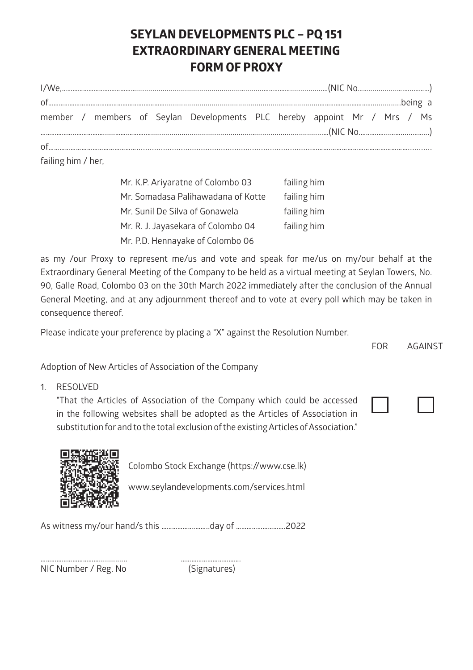## **SEYLAN DEVELOPMENTS PLC – PQ 151 EXTRAORDINARY GENERAL MEETING FORM OF PROXY**

|  |  |  |  |  | member / members of Seylan Developments PLC hereby appoint Mr / Mrs / Ms |  |  |  |  |  |  |  |
|--|--|--|--|--|--------------------------------------------------------------------------|--|--|--|--|--|--|--|
|  |  |  |  |  |                                                                          |  |  |  |  |  |  |  |
|  |  |  |  |  |                                                                          |  |  |  |  |  |  |  |

failing him / her,

| Mr. K.P. Arivaratne of Colombo 03  | failing him |
|------------------------------------|-------------|
| Mr. Somadasa Palihawadana of Kotte | failing him |
| Mr. Sunil De Silva of Gonawela     | failing him |
| Mr. R. J. Jayasekara of Colombo 04 | failing him |
| Mr. P.D. Hennayake of Colombo 06   |             |

as my /our Proxy to represent me/us and vote and speak for me/us on my/our behalf at the Extraordinary General Meeting of the Company to be held as a virtual meeting at Seylan Towers, No. 90, Galle Road, Colombo 03 on the 30th March 2022 immediately after the conclusion of the Annual General Meeting, and at any adjournment thereof and to vote at every poll which may be taken in consequence thereof.

Please indicate your preference by placing a "X" against the Resolution Number.

FOR AGAINST

Adoption of New Articles of Association of the Company

1. RESOLVED

"That the Articles of Association of the Company which could be accessed in the following websites shall be adopted as the Articles of Association in substitution for and to the total exclusion of the existing Articles of Association."





Colombo Stock Exchange (https://www.cse.lk)

www.seylandevelopments.com/services.html

As witness my/our hand/s this ……………….……..day of ……………………….2022

NIC Number / Reg. No (Signatures)

…………………………….............. …………………………….